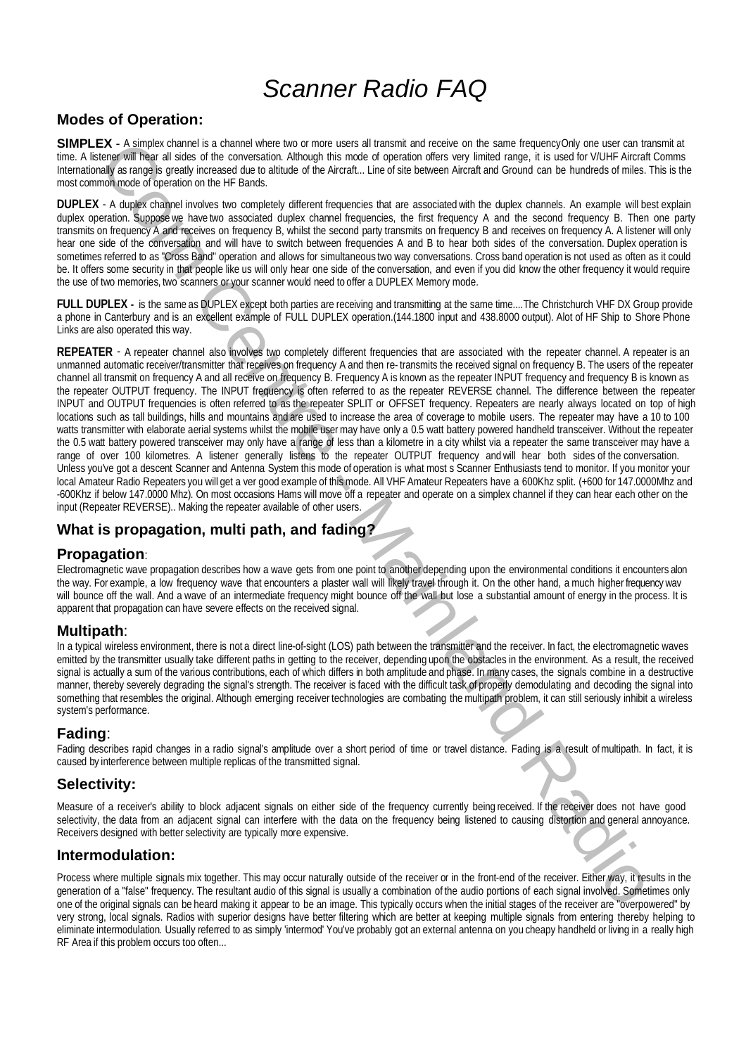# Scanner Radio FAQ

# **Modes of Operation:**

SIMPLEX - A simplex channel is a channel where two or more users all transmit and receive on the same frequency Only one user can transmit at time. A listener will hear all sides of the conversation. Although this mode of operation offers very limited range, it is used for V/UHF Aircraft Comms Internationally as range is greatly increased due to altitude of the Aircraft... Line of site between Aircraft and Ground can be hundreds of miles. This is the most common mode of operation on the HF Bands.

**DUPLEX** - A duplex channel involves two completely different frequencies that are associated with the duplex channels. An example will best explain duplex operation. Suppose we have two associated duplex channel frequencies, the first frequency A and the second frequency B. Then one party transmits on frequency A and receives on frequency B, whilst the second party transmits on frequency B and receives on frequency A. A listener will only hear one side of the conversation and will have to switch between frequencies A and B to hear both sides of the conversation. Duplex operation is sometimes referred to as "Cross Band" operation and allows for simultaneous two way conversations. Cross band operation is not used as often as it could be. It offers some security in that people like us will only hear one side of the conversation, and even if you did know the other frequency it would require the use of two memories, two scanners or your scanner would need to offer a DUPLEX Memory mode.

**FULL DUPLEX -** is the same as DUPLEX except both parties are receiving and transmitting at the same time....The Christchurch VHF DX Group provide a phone in Canterbury and is an excellent example of FULL DUPLEX operation.(144.1800 input and 438.8000 output). Alot of HF Ship to Shore Phone Links are also operated this way.

**EX** A dimension is a momentum and comparison in the state only a momentum and particular the state of the state of the state of the state of the state of the state of the state of the state of the state of the state of **REPEATER** - A repeater channel also involves two completely different frequencies that are associated with the repeater channel. A repeater is an unmanned automatic receiver/transmitter that receives on frequency A and then re- transmits the received signal on frequency B. The users of the repeater channel all transmit on frequency A and all receive on frequency B. Frequency A is known as the repeater INPUT frequency and frequency B is known as the repeater OUTPUT frequency. The INPUT frequency is often referred to as the repeater REVERSE channel. The difference between the repeater INPUT and OUTPUT frequencies is often referred to as the repeater SPLIT or OFFSET frequency. Repeaters are nearly always located on top of high locations such as tall buildings, hills and mountains and are used to increase the area of coverage to mobile users. The repeater may have a 10 to 100 watts transmitter with elaborate aerial systems whilst the mobile user may have only a 0.5 watt battery powered handheld transceiver. Without the repeater the 0.5 watt battery powered transceiver may only have a range of less than a kilometre in a city whilst via a repeater the same transceiver may have a range of over 100 kilometres. A listener generally listens to the repeater OUTPUT frequency and will hear both sides of the conversation. Unless you've got a descent Scanner and Antenna System this mode of operation is what most s Scanner Enthusiasts tend to monitor. If you monitor your local Amateur Radio Repeaters you will get a ver good example of this mode. All VHF Amateur Repeaters have a 600Khz split. (+600 for 147.0000Mhz and -600Khz if below 147.0000 Mhz). On most occasions Hams will move off a repeater and operate on a simplex channel if they can hear each other on the input (Repeater REVERSE).. Making the repeater available of other users.

### **What is propagation, multi path, and fading?**

### **Propagation**:

Electromagnetic wave propagation describes how a wave gets from one point to another depending upon the environmental conditions it encounters alon the way. For example, a low frequency wave that encounters a plaster wall will likely travel through it. On the other hand, a much higher frequency wav will bounce off the wall. And a wave of an intermediate frequency might bounce off the wall but lose a substantial amount of energy in the process. It is apparent that propagation can have severe effects on the received signal.

### **Multipath**:

In a typical wireless environment, there is not a direct line-of-sight (LOS) path between the transmitter and the receiver. In fact, the electromagnetic waves emitted by the transmitter usually take different paths in getting to the receiver, depending upon the obstacles in the environment. As a result, the received signal is actually a sum of the various contributions, each of which differs in both amplitude and phase. In many cases, the signals combine in a destructive manner, thereby severely degrading the signal's strength. The receiver is faced with the difficult task of properly demodulating and decoding the signal into something that resembles the original. Although emerging receiver technologies are combating the multipath problem, it can still seriously inhibit a wireless system's performance.

### **Fading**:

Fading describes rapid changes in a radio signal's amplitude over a short period of time or travel distance. Fading is a result of multipath. In fact, it is caused by interference between multiple replicas of the transmitted signal.

### **Selectivity:**

Measure of a receiver's ability to block adjacent signals on either side of the frequency currently being received. If the receiver does not have good selectivity, the data from an adjacent signal can interfere with the data on the frequency being listened to causing distortion and general annoyance. Receivers designed with better selectivity are typically more expensive.

### **Intermodulation:**

Process where multiple signals mix together. This may occur naturally outside of the receiver or in the front-end of the receiver. Either way, it results in the generation of a "false" frequency. The resultant audio of this signal is usually a combination of the audio portions of each signal involved. Sometimes only one of the original signals can be heard making it appear to be an image. This typically occurs when the initial stages of the receiver are "overpowered" by very strong, local signals. Radios with superior designs have better filtering which are better at keeping multiple signals from entering thereby helping to eliminate intermodulation. Usually referred to as simply 'intermod' You've probably got an external antenna on you cheapy handheld or living in a really high RF Area if this problem occurs too often...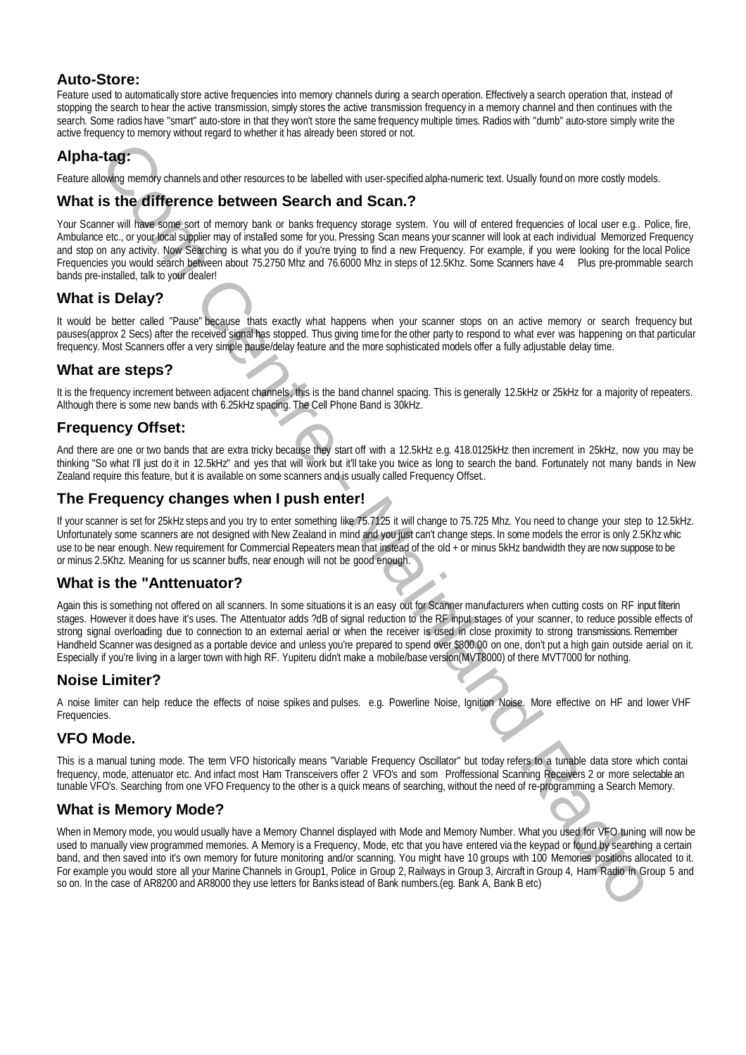Feature used to automatically store active frequencies into memory channels during a search operation. Effectively a search operation that, instead of stopping the search to hear the active transmission, simply stores the active transmission frequency in a memory channel and then continues with the search. Some radios have "smart" auto-store in that they won't store the same frequency multiple times. Radios with "dumb" auto-store simply write the active frequency to memory without regard to whether it has already been stored or not.

# **Alpha-tag:**

Feature allowing memory channels and other resources to be labelled with user-specified alpha-numeric text. Usually found on more costly models.

# **What is the difference between Search and Scan.?**

Your Scanner will have some sort of memory bank or banks frequency storage system. You will of entered frequencies of local user e.g.. Police, fire, Ambulance etc., or your local supplier may of installed some for you. Pressing Scan means your scanner will look at each individual Memorized Frequency and stop on any activity. Now Searching is what you do if you're trying to find a new Frequency. For example, if you were looking for the local Police Frequencies you would search between about 75.2750 Mhz and 76.6000 Mhz in steps of 12.5Khz. Some Scanners have 4 Plus pre-prommable search bands pre-installed, talk to your dealer!

# **What is Delay?**

It would be better called "Pause" because thats exactly what happens when your scanner stops on an active memory or search frequency but pauses(approx 2 Secs) after the received signal has stopped. Thus giving time for the other party to respond to what ever was happening on that particular frequency. Most Scanners offer a very simple pause/delay feature and the more sophisticated models offer a fully adjustable delay time.

### **What are steps?**

It is the frequency increment between adjacent channels, this is the band channel spacing. This is generally 12.5kHz or 25kHz for a majority of repeaters. Although there is some new bands with 6.25kHz spacing. The Cell Phone Band is 30kHz.

# **Frequency Offset:**

And there are one or two bands that are extra tricky because they start off with a 12.5kHz e.g. 418.0125kHz then increment in 25kHz, now you may be thinking "So what I'll just do it in 12.5kHz" and yes that will work but it'll take you twice as long to search the band. Fortunately not many bands in New Zealand require this feature, but it is available on some scanners and is usually called Frequency Offset..

# **The Frequency changes when I push enter!**

If your scanner is set for 25kHz steps and you try to enter something like 75.7125 it will change to 75.725 Mhz. You need to change your step to 12.5kHz. Unfortunately some scanners are not designed with New Zealand in mind and you just can't change steps. In some models the error is only 2.5Khz whic use to be near enough. New requirement for Commercial Repeaters mean that instead of the old + or minus 5kHz bandwidth they are now suppose to be or minus 2.5Khz. Meaning for us scanner buffs, near enough will not be good enough.

# **What is the "Anttenuator?**

Again this is something not offered on all scanners. In some situations it is an easy out for Scanner manufacturers when cutting costs on RF input filterin stages. However it does have it's uses. The Attentuator adds ?dB of signal reduction to the RF input stages of your scanner, to reduce possible effects of strong signal overloading due to connection to an external aerial or when the receiver is used in close proximity to strong transmissions. Remember Handheld Scanner was designed as a portable device and unless you're prepared to spend over \$800.00 on one, don't put a high gain outside aerial on it. Especially if you're living in a larger town with high RF. Yupiteru didn't make a mobile/base version(MVT8000) of there MVT7000 for nothing.

### **Noise Limiter?**

A noise limiter can help reduce the effects of noise spikes and pulses. e.g. Powerline Noise, Ignition Noise. More effective on HF and lower VHF Frequencies.

# **VFO Mode.**

This is a manual tuning mode. The term VFO historically means "Variable Frequency Oscillator" but today refers to a tunable data store which contai frequency, mode, attenuator etc. And infact most Ham Transceivers offer 2 VFO's and som Proffessional Scanning Receivers 2 or more selectable an tunable VFO's. Searching from one VFO Frequency to the other is a quick means of searching, without the need of re-programming a Search Memory.

# **What is Memory Mode?**

Auto-Store:<br>
New York Computer and the properties and new phonon and a state of the properties and the properties and the properties and the properties and the properties are also in the properties and the properties are a When in Memory mode, you would usually have a Memory Channel displayed with Mode and Memory Number. What you used for VFO tuning will now be used to manually view programmed memories. A Memory is a Frequency, Mode, etc that you have entered via the keypad or found by searching a certain band, and then saved into it's own memory for future monitoring and/or scanning. You might have 10 groups with 100 Memories positions allocated to it. For example you would store all your Marine Channels in Group1, Police in Group 2, Railways in Group 3, Aircraft in Group 4, Ham Radio in Group 5 and so on. In the case of AR8200 and AR8000 they use letters for Banks istead of Bank numbers.(eg. Bank A, Bank B etc)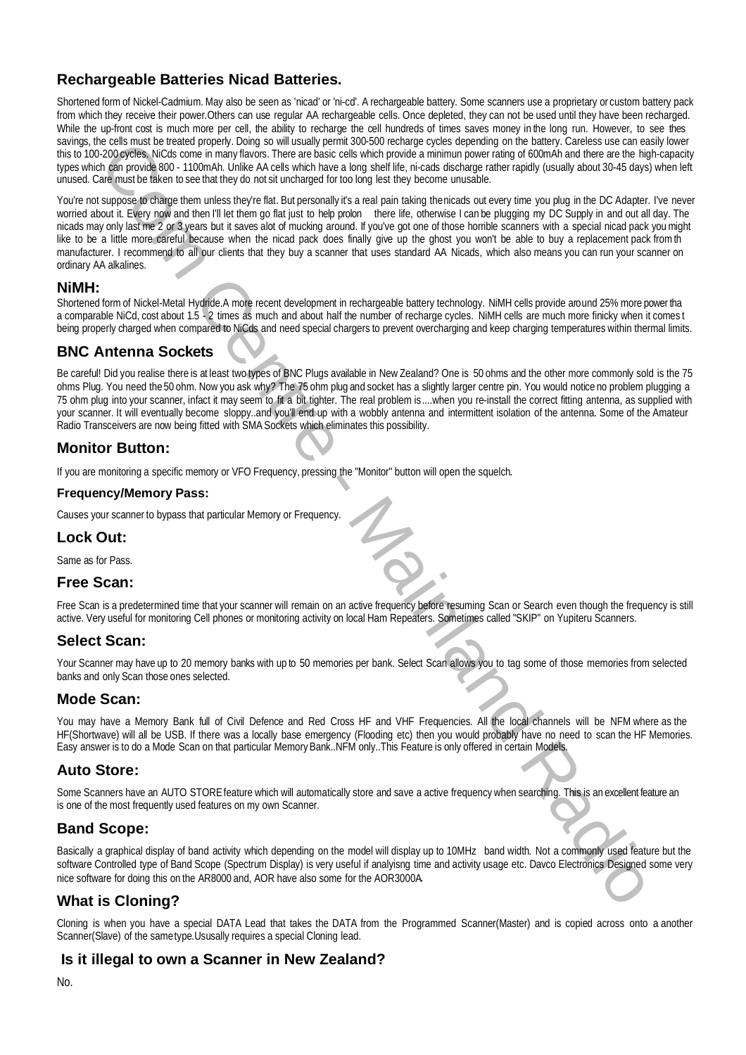Recharge able Batteries Nicad Batteries Nicad Batteries. Which was a state to consider the state of consideration of the state of the state of the state of the state of the state of the state of the state of the state of t Shortened form of Nickel-Cadmium. May also be seen as 'nicad' or 'ni-cd'. A rechargeable battery. Some scanners use a proprietary or custom battery pack from which they receive their power.Others can use regular AA rechargeable cells. Once depleted, they can not be used until they have been recharged. While the up-front cost is much more per cell, the ability to recharge the cell hundreds of times saves money in the long run. However, to see thes savings, the cells must be treated properly. Doing so will usually permit 300-500 recharge cycles depending on the battery. Careless use can easily lower this to 100-200 cycles. NiCds come in many flavors. There are basic cells which provide a minimun power rating of 600mAh and there are the high-capacity types which can provide 800 - 1100mAh. Unlike AA cells which have a long shelf life, ni-cads discharge rather rapidly (usually about 30-45 days) when left unused. Care must be taken to see that they do not sit uncharged for too long lest they become unusable.

You're not suppose to charge them unless they're flat. But personally it's a real pain taking the nicads out every time you plug in the DC Adapter. I've never worried about it. Every now and then I'll let them go flat just to help prolon there life, otherwise I can be plugging my DC Supply in and out all day. The nicads may only last me 2 or 3 years but it saves alot of mucking around. If you've got one of those horrible scanners with a special nicad pack you might like to be a little more careful because when the nicad pack does finally give up the ghost you won't be able to buy a replacement pack from th manufacturer. I recommend to all our clients that they buy a scanner that uses standard AA Nicads, which also means you can run your scanner on ordinary AA alkalines.

#### **NiMH:**

Shortened form of Nickel-Metal Hydride.A more recent development in rechargeable battery technology. NiMH cells provide around 25% more power tha a comparable NiCd, cost about 1.5 - 2 times as much and about half the number of recharge cycles. NiMH cells are much more finicky when it comes t being properly charged when compared to NiCds and need special chargers to prevent overcharging and keep charging temperatures within thermal limits.

# **BNC Antenna Sockets**

Be careful! Did you realise there is at least two types of BNC Plugs available in New Zealand? One is 50 ohms and the other more commonly sold is the 75 ohms Plug. You need the 50 ohm. Now you ask why? The 75 ohm plug and socket has a slightly larger centre pin. You would notice no problem plugging a 75 ohm plug into your scanner, infact it may seem to fit a bit tighter. The real problem is....when you re-install the correct fitting antenna, as supplied with your scanner. It will eventually become sloppy..and you'll end up with a wobbly antenna and intermittent isolation of the antenna. Some of the Amateur Radio Transceivers are now being fitted with SMA Sockets which eliminates this possibility.

# **Monitor Button:**

If you are monitoring a specific memory or VFO Frequency, pressing the "Monitor" button will open the squelch.

#### **Frequency/Memory Pass:**

Causes your scanner to bypass that particular Memory or Frequency.

### **Lock Out:**

Same as for Pass.

### **Free Scan:**

Free Scan is a predetermined time that your scanner will remain on an active frequency before resuming Scan or Search even though the frequency is still active. Very useful for monitoring Cell phones or monitoring activity on local Ham Repeaters. Sometimes called "SKIP" on Yupiteru Scanners.

### **Select Scan:**

Your Scanner may have up to 20 memory banks with up to 50 memories per bank. Select Scan allows you to tag some of those memories from selected banks and only Scan those ones selected.

### **Mode Scan:**

You may have a Memory Bank full of Civil Defence and Red Cross HF and VHF Frequencies. All the local channels will be NFM where as the HF(Shortwave) will all be USB. If there was a locally base emergency (Flooding etc) then you would probably have no need to scan the HF Memories. Easy answer is to do a Mode Scan on that particular Memory Bank..NFM only..This Feature is only offered in certain Models.

### **Auto Store:**

Some Scanners have an AUTO STORE feature which will automatically store and save a active frequency when searching. This is an excellent feature an is one of the most frequently used features on my own Scanner.

# **Band Scope:**

Basically a graphical display of band activity which depending on the model will display up to 10MHz band width. Not a commonly used feature but the software Controlled type of Band Scope (Spectrum Display) is very useful if analyisng time and activity usage etc. Davco Electronics Designed some very nice software for doing this on the AR8000 and, AOR have also some for the AOR3000A.

# **What is Cloning?**

Cloning is when you have a special DATA Lead that takes the DATA from the Programmed Scanner(Master) and is copied across onto a another Scanner(Slave) of the same type.Ususally requires a special Cloning lead.

# **Is it illegal to own a Scanner in New Zealand?**

No.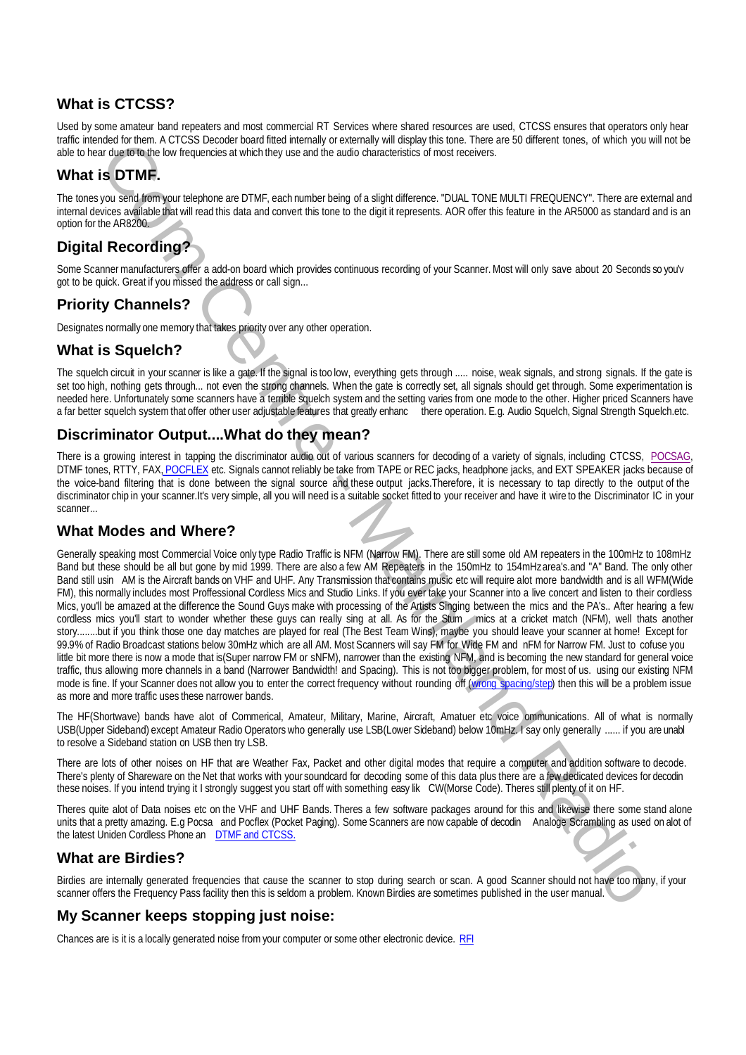Used by some amateur band repeaters and most commercial RT Services where shared resources are used, CTCSS ensures that operators only hear traffic intended for them. A CTCSS Decoder board fitted internally or externally will display this tone. There are 50 different tones, of which you will not be able to hear due to to the low frequencies at which they use and the audio characteristics of most receivers.

# **What is DTMF.**

The tones you send from your telephone are DTMF, each number being of a slight difference. "DUAL TONE MULTI FREQUENCY". There are external and internal devices available that will read this data and convert this tone to the digit it represents. AOR offer this feature in the AR5000 as standard and is an option for the AR8200.

# **Digital Recording?**

Some Scanner manufacturers offer a add-on board which provides continuous recording of your Scanner. Most will only save about 20 Seconds so you'v got to be quick. Great if you missed the address or call sign...

# **Priority Channels?**

Designates normally one memory that takes priority over any other operation.

### **What is Squelch?**

The squelch circuit in your scanner is like a gate. If the signal is too low, everything gets through ..... noise, weak signals, and strong signals. If the gate is set too high, nothing gets through... not even the strong channels. When the gate is correctly set, all signals should get through. Some experimentation is needed here. Unfortunately some scanners have a terrible squelch system and the setting varies from one mode to the other. Higher priced Scanners have a far better squelch system that offer other user adjustable features that greatly enhanc there operation. E.g. Audio Squelch, Signal Strength Squelch.etc.

# **Discriminator Output....What do they mean?**

There is a growing interest in tapping the discriminator audio out of various scanners for decoding of a variety of signals, including CTCSS, POCSAG, DTMF tones, RTTY, FAX, POCFLEX etc. Signals cannot reliably be take from TAPE or REC jacks, headphone jacks, and EXT SPEAKER jacks because of the voice-band filtering that is done between the signal source and these output jacks.Therefore, it is necessary to tap directly to the output of the discriminator chip in your scanner.It's very simple, all you will need is a suitable socket fitted to your receiver and have it wire to the Discriminator IC in your scanner...

# **What Modes and Where?**

What is CTCSS?<br>What is CTCSS?<br>What is CTCSS?<br>What is CTCSS?<br>The investigated in the state and not comment is close to the state and is considered in the state of the state of the state of the state of the state of the stat Generally speaking most Commercial Voice only type Radio Traffic is NFM (Narrow FM). There are still some old AM repeaters in the 100mHz to 108mHz Band but these should be all but gone by mid 1999. There are also a few AM Repeaters in the 150mHz to 154mHz area's.and "A" Band. The only other Band still usin AM is the Aircraft bands on VHF and UHF. Any Transmission that contains music etc will require alot more bandwidth and is all WFM(Wide FM), this normally includes most Proffessional Cordless Mics and Studio Links. If you ever take your Scanner into a live concert and listen to their cordless Mics, you'll be amazed at the difference the Sound Guys make with processing of the Artists Singing between the mics and the PA's.. After hearing a few cordless mics you'll start to wonder whether these guys can really sing at all. As for the Stum mics at a cricket match (NFM), well thats another story........but if you think those one day matches are played for real (The Best Team Wins), maybe you should leave your scanner at home! Except for 99.9% of Radio Broadcast stations below 30mHz which are all AM. Most Scanners will say FM for Wide FM and nFM for Narrow FM. Just to cofuse you little bit more there is now a mode that is(Super narrow FM or sNFM), narrower than the existing NFM, and is becoming the new standard for general voice traffic, thus allowing more channels in a band (Narrower Bandwidth! and Spacing). This is not too bigger problem, for most of us. using our existing NFM mode is fine. If your Scanner does not allow you to enter the correct frequency without rounding off (wrong spacing/step) then this will be a problem issue as more and more traffic uses these narrower bands.

The HF(Shortwave) bands have alot of Commerical, Amateur, Military, Marine, Aircraft, Amatuer etc voice ommunications. All of what is normally USB(Upper Sideband) except Amateur Radio Operators who generally use LSB(Lower Sideband) below 10mHz. I say only generally ...... if you are unabl to resolve a Sideband station on USB then try LSB.

There are lots of other noises on HF that are Weather Fax, Packet and other digital modes that require a computer and addition software to decode. There's plenty of Shareware on the Net that works with your soundcard for decoding some of this data plus there are a few dedicated devices for decodin these noises. If you intend trying it I strongly suggest you start off with something easy lik CW(Morse Code). Theres still plenty of it on HF.

Theres quite alot of Data noises etc on the VHF and UHF Bands. Theres a few software packages around for this and likewise there some stand alone units that a pretty amazing. E.g Pocsa and Pocflex (Pocket Paging). Some Scanners are now capable of decodin Analoge Scrambling as used on alot of the latest Uniden Cordless Phone an DTMF and CTCSS.

# **What are Birdies?**

Birdies are internally generated frequencies that cause the scanner to stop during search or scan. A good Scanner should not have too many, if your scanner offers the Frequency Pass facility then this is seldom a problem. Known Birdies are sometimes published in the user manual.

# **My Scanner keeps stopping just noise:**

Chances are is it is a locally generated noise from your computer or some other electronic device. RFI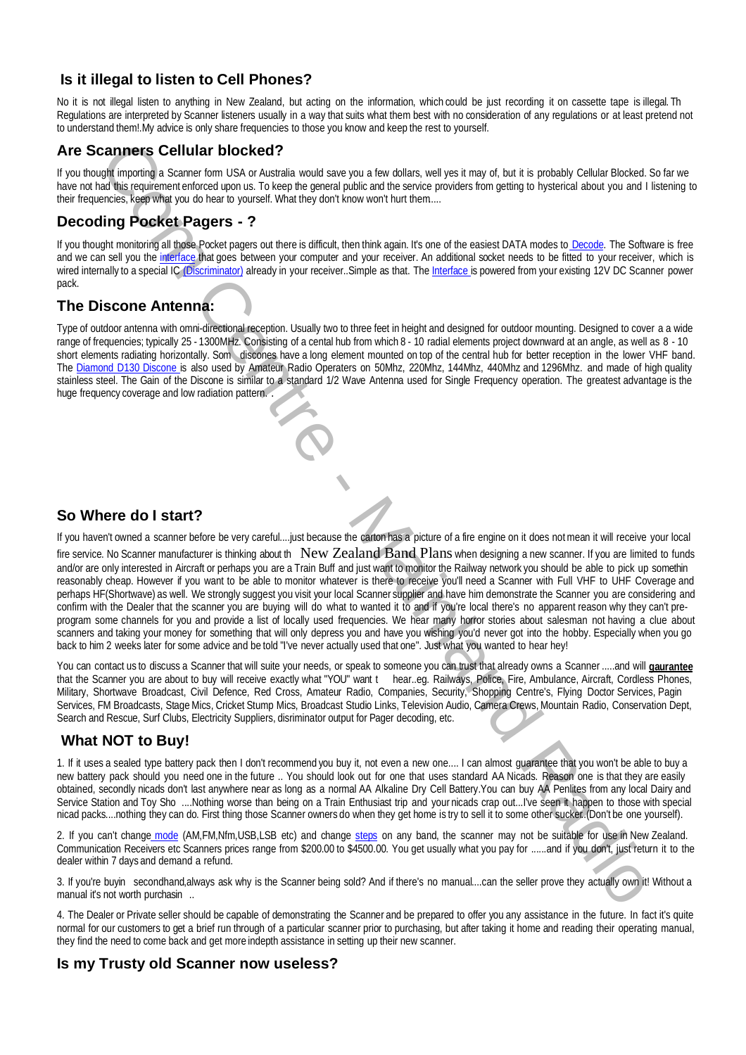No it is not illegal listen to anything in New Zealand, but acting on the information, which could be just recording it on cassette tape is illegal. Th Regulations are interpreted by Scanner listeners usually in a way that suits what them best with no consideration of any regulations or at least pretend not to understand them!.My advice is only share frequencies to those you know and keep the rest to yourself.

# **Are Scanners Cellular blocked?**

If you thought importing a Scanner form USA or Australia would save you a few dollars, well yes it may of, but it is probably Cellular Blocked. So far we have not had this requirement enforced upon us. To keep the general public and the service providers from getting to hysterical about you and I listening to their frequencies, keep what you do hear to yourself. What they don't know won't hurt them.....

# **Decoding Pocket Pagers - ?**

If you thought monitoring all those Pocket pagers out there is difficult, then think again. It's one of the easiest DATA modes to **Decode**. The Software is free and we can sell you the interface that goes between your computer and your receiver. An additional socket needs to be fitted to your receiver, which is wired internally to a special IC (Discriminator) already in your receiver. Simple as that. The Interface is powered from your existing 12V DC Scanner power pack.

# **The Discone Antenna:**

Type of outdoor antenna with omni-directional reception. Usually two to three feet in height and designed for outdoor mounting. Designed to cover a a wide range of frequencies; typically 25 - 1300MHz. Consisting of a cental hub from which 8 - 10 radial elements project downward at an angle, as well as 8 - 10 short elements radiating horizontally. Som discones have a long element mounted on top of the central hub for better reception in the lower VHF band. The Diamond D130 Discone is also used by Amateur Radio Operaters on 50Mhz, 220Mhz, 144Mhz, 440Mhz and 1296Mhz. and made of high quality stainless steel. The Gain of the Discone is similar to a standard 1/2 Wave Antenna used for Single Frequency operation. The greatest advantage is the huge frequency coverage and low radiation pattern.

# **So Where do I start?**

If you haven't owned a scanner before be very careful....just because the carton has a picture of a fire engine on it does not mean it will receive your local

Is it illegal to listen to Gell Phones? The intention of the state is in the state in the state is the state in the state is the state in the state intention of the state is the state in the state in the state is the state fire service. No Scanner manufacturer is thinking about th New Zealand Band Plans when designing a new scanner. If you are limited to funds and/or are only interested in Aircraft or perhaps you are a Train Buff and just want to monitor the Railway network you should be able to pick up somethin reasonably cheap. However if you want to be able to monitor whatever is there to receive you'll need a Scanner with Full VHF to UHF Coverage and perhaps HF(Shortwave) as well. We strongly suggest you visit your local Scanner supplier and have him demonstrate the Scanner you are considering and confirm with the Dealer that the scanner you are buying will do what to wanted it to and if you're local there's no apparent reason why they can't preprogram some channels for you and provide a list of locally used frequencies. We hear many horror stories about salesman not having a clue about scanners and taking your money for something that will only depress you and have you wishing you'd never got into the hobby. Especially when you go back to him 2 weeks later for some advice and be told "I've never actually used that one". Just what you wanted to hear hey!

You can contact us to discuss a Scanner that will suite your needs, or speak to someone you can trust that already owns a Scanner .....and will **gaurantee** that the Scanner you are about to buy will receive exactly what "YOU" want t hear..eg. Railways, Police, Fire, Ambulance, Aircraft, Cordless Phones, Military, Shortwave Broadcast, Civil Defence, Red Cross, Amateur Radio, Companies, Security, Shopping Centre's, Flying Doctor Services, Pagin Services, FM Broadcasts, Stage Mics, Cricket Stump Mics, Broadcast Studio Links, Television Audio, Camera Crews, Mountain Radio, Conservation Dept, Search and Rescue, Surf Clubs, Electricity Suppliers, disriminator output for Pager decoding, etc.

# **What NOT to Buy!**

1. If it uses a sealed type battery pack then I don't recommend you buy it, not even a new one.... I can almost guarantee that you won't be able to buy a new battery pack should you need one in the future .. You should look out for one that uses standard AA Nicads. Reason one is that they are easily obtained, secondly nicads don't last anywhere near as long as a normal AA Alkaline Dry Cell Battery.You can buy AA Penlites from any local Dairy and Service Station and Toy Sho ....Nothing worse than being on a Train Enthusiast trip and your nicads crap out...I've seen it happen to those with special nicad packs....nothing they can do. First thing those Scanner owners do when they get home is try to sell it to some other sucker..(Don't be one yourself).

2. If you can't change mode (AM,FM,Nfm,USB,LSB etc) and change steps on any band, the scanner may not be suitable for use in New Zealand. Communication Receivers etc Scanners prices range from \$200.00 to \$4500.00. You get usually what you pay for ......and if you don't, just return it to the dealer within 7 days and demand a refund.

3. If you're buyin secondhand,always ask why is the Scanner being sold? And if there's no manual....can the seller prove they actually own it! Without a manual it's not worth purchasin ...

4. The Dealer or Private seller should be capable of demonstrating the Scanner and be prepared to offer you any assistance in the future. In fact it's quite normal for our customers to get a brief run through of a particular scanner prior to purchasing, but after taking it home and reading their operating manual, they find the need to come back and get more indepth assistance in setting up their new scanner.

### **Is my Trusty old Scanner now useless?**